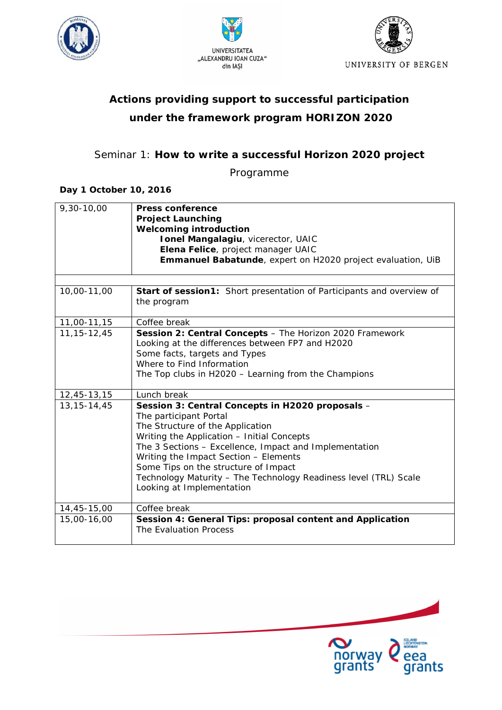





# *Actions providing support to successful participation under the framework program HORIZON 2020*

# Seminar 1: *How to write a successful Horizon 2020 project*

Programme

### **Day 1 October 10, 2016**

| 9,30-10,00      | <b>Press conference</b><br><b>Project Launching</b><br><b>Welcoming introduction</b><br>Ionel Mangalagiu, vicerector, UAIC                                                                                                                                                                                                                                                                               |
|-----------------|----------------------------------------------------------------------------------------------------------------------------------------------------------------------------------------------------------------------------------------------------------------------------------------------------------------------------------------------------------------------------------------------------------|
|                 | Elena Felice, project manager UAIC                                                                                                                                                                                                                                                                                                                                                                       |
|                 | Emmanuel Babatunde, expert on H2020 project evaluation, UiB                                                                                                                                                                                                                                                                                                                                              |
|                 |                                                                                                                                                                                                                                                                                                                                                                                                          |
| 10,00-11,00     | <b>Start of session1:</b> Short presentation of Participants and overview of<br>the program                                                                                                                                                                                                                                                                                                              |
| 11,00-11,15     | Coffee break                                                                                                                                                                                                                                                                                                                                                                                             |
| 11, 15 - 12, 45 | Session 2: Central Concepts - The Horizon 2020 Framework<br>Looking at the differences between FP7 and H2020<br>Some facts, targets and Types<br>Where to Find Information<br>The Top clubs in H2020 - Learning from the Champions                                                                                                                                                                       |
| 12,45-13,15     | Lunch break                                                                                                                                                                                                                                                                                                                                                                                              |
| 13, 15 - 14, 45 | Session 3: Central Concepts in H2020 proposals -<br>The participant Portal<br>The Structure of the Application<br>Writing the Application - Initial Concepts<br>The 3 Sections - Excellence, Impact and Implementation<br>Writing the Impact Section - Elements<br>Some Tips on the structure of Impact<br>Technology Maturity - The Technology Readiness level (TRL) Scale<br>Looking at Implementation |
| 14,45-15,00     | Coffee break                                                                                                                                                                                                                                                                                                                                                                                             |
| 15,00-16,00     | Session 4: General Tips: proposal content and Application<br>The Evaluation Process                                                                                                                                                                                                                                                                                                                      |

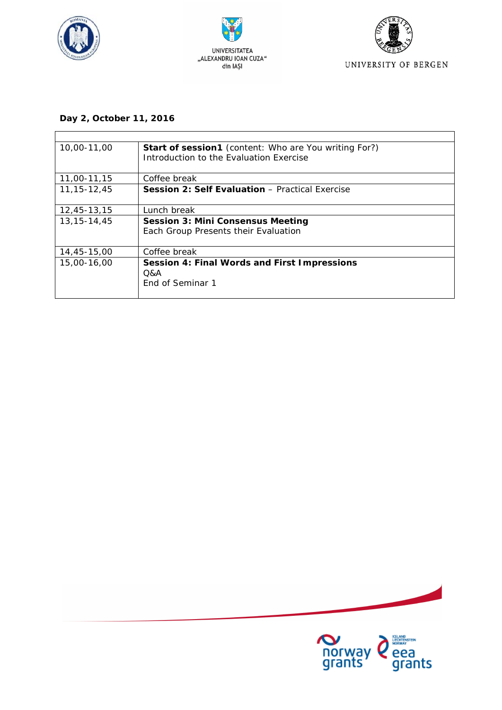





## **Day 2, October 11, 2016**

| 10,00-11,00     | <b>Start of session1</b> (content: Who are You writing For?)<br>Introduction to the Evaluation Exercise |
|-----------------|---------------------------------------------------------------------------------------------------------|
| 11,00-11,15     | Coffee break                                                                                            |
| 11, 15 - 12, 45 | <b>Session 2: Self Evaluation - Practical Exercise</b>                                                  |
| 12,45-13,15     | Lunch break                                                                                             |
| 13, 15 - 14, 45 | <b>Session 3: Mini Consensus Meeting</b>                                                                |
|                 | Each Group Presents their Evaluation                                                                    |
| 14,45-15,00     | Coffee break                                                                                            |
| 15,00-16,00     | Session 4: Final Words and First Impressions                                                            |
|                 | Q&A                                                                                                     |
|                 | End of Seminar 1                                                                                        |